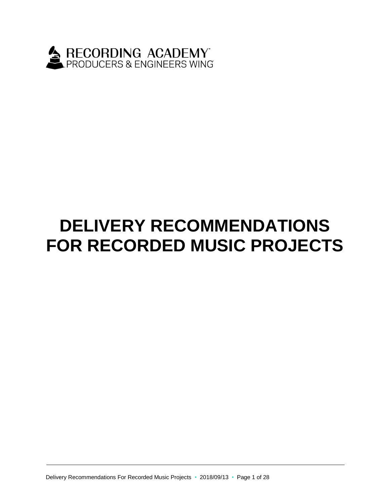

# **DELIVERY RECOMMENDATIONS FOR RECORDED MUSIC PROJECTS**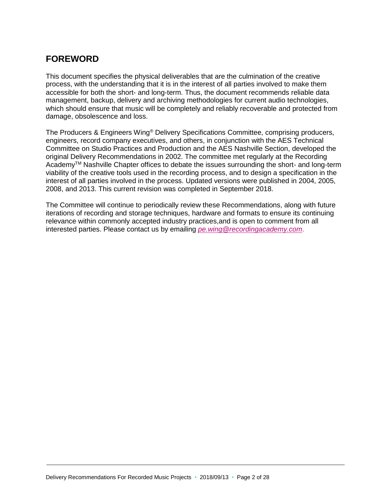# **FOREWORD**

This document specifies the physical deliverables that are the culmination of the creative process, with the understanding that it is in the interest of all parties involved to make them accessible for both the short- and long-term. Thus, the document recommends reliable data management, backup, delivery and archiving methodologies for current audio technologies, which should ensure that music will be completely and reliably recoverable and protected from damage, obsolescence and loss.

The Producers & Engineers Wing® Delivery Specifications Committee, comprising producers, engineers, record company executives, and others, in conjunction with the AES Technical Committee on Studio Practices and Production and the AES Nashville Section, developed the original Delivery Recommendations in 2002. The committee met regularly at the Recording Academy<sup>™</sup> Nashville Chapter offices to debate the issues surrounding the short- and long-term viability of the creative tools used in the recording process, and to design a specification in the interest of all parties involved in the process. Updated versions were published in 2004, 2005, 2008, and 2013. This current revision was completed in September 2018.

The Committee will continue to periodically review these Recommendations, along with future iterations of recording and storage techniques, hardware and formats to ensure its continuing relevance within commonly accepted industry practices,and is open to comment from all interested parties. Please contact us by emailing *[pe.wing@recordingacademy.com](mailto:pe.wing@recordingacademy.com)*.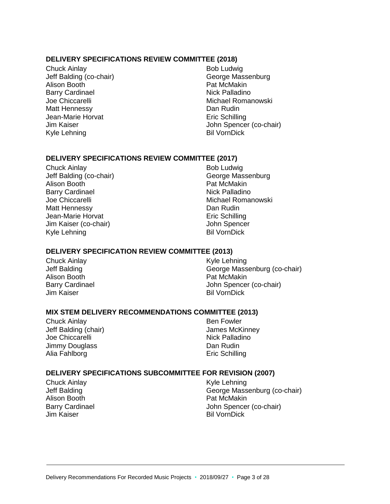#### **DELIVERY SPECIFICATIONS REVIEW COMMITTEE (2018)**

Chuck Ainlay Jeff Balding (co-chair) Alison Booth Barry Cardinael Joe Chiccarelli Matt Hennessy Jean-Marie Horvat Jim Kaiser Kyle Lehning

Bob Ludwig George Massenburg Pat McMakin Nick Palladino Michael Romanowski Dan Rudin Eric Schilling John Spencer (co-chair) Bil VornDick

#### **DELIVERY SPECIFICATIONS REVIEW COMMITTEE (2017)**

Chuck Ainlay Jeff Balding (co-chair) Alison Booth Barry Cardinael Joe Chiccarelli Matt Hennessy Jean-Marie Horvat Jim Kaiser (co-chair) Kyle Lehning

Bob Ludwig George Massenburg Pat McMakin Nick Palladino Michael Romanowski Dan Rudin Eric Schilling John Spencer Bil VornDick

#### **DELIVERY SPECIFICATION REVIEW COMMITTEE (2013)**

Chuck Ainlay Jeff Balding Alison Booth Barry Cardinael Jim Kaiser

Kyle Lehning George Massenburg (co-chair) Pat McMakin John Spencer (co-chair) Bil VornDick

### **MIX STEM DELIVERY RECOMMENDATIONS COMMITTEE (2013)**

Chuck Ainlay Jeff Balding (chair) Joe Chiccarelli Jimmy Douglass Alia Fahlborg

Ben Fowler James McKinney Nick Palladino Dan Rudin Eric Schilling

#### **DELIVERY SPECIFICATIONS SUBCOMMITTEE FOR REVISION (2007)**

Chuck Ainlay Jeff Balding Alison Booth Barry Cardinael Jim Kaiser

Kyle Lehning George Massenburg (co-chair) Pat McMakin John Spencer (co-chair) Bil VornDick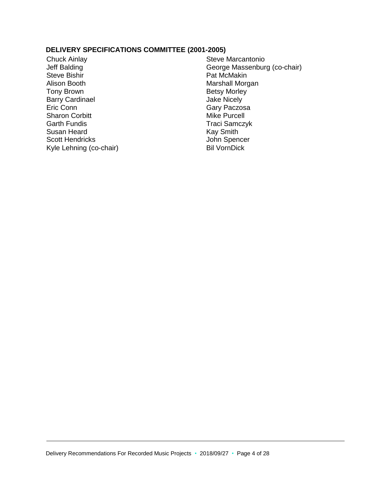#### **DELIVERY SPECIFICATIONS COMMITTEE (2001-2005)**

Chuck Ainlay Jeff Balding Steve Bishir Alison Booth Tony Brown Barry Cardinael Eric Conn Sharon Corbitt Garth Fundis Susan Heard Scott Hendricks Kyle Lehning (co-chair)

Steve Marcantonio George Massenburg (co-chair) Pat McMakin Marshall Morgan Betsy Morley Jake Nicely Gary Paczosa Mike Purcell Traci Samczyk Kay Smith John Spencer Bil VornDick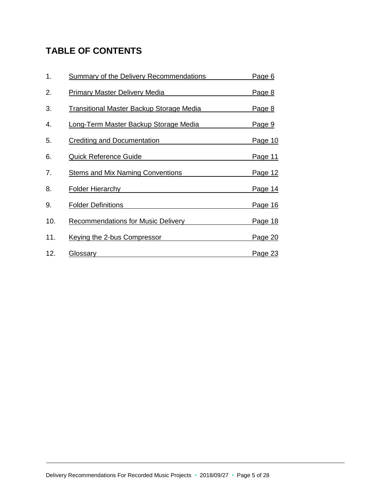# **TABLE OF CONTENTS**

| 1.  | <b>Summary of the Delivery Recommendations</b> | Page 6         |
|-----|------------------------------------------------|----------------|
| 2.  | <b>Primary Master Delivery Media</b>           | Page 8         |
| 3.  | Transitional Master Backup Storage Media       | <u>Page 8</u>  |
| 4.  | Long-Term Master Backup Storage Media          | Page 9         |
| 5.  | Crediting and Documentation                    | <u>Page 10</u> |
| 6.  | <b>Quick Reference Guide</b>                   | Page 11        |
| 7.  | <b>Stems and Mix Naming Conventions</b>        | <u>Page 12</u> |
| 8.  | <b>Folder Hierarchy</b>                        | Page 14        |
| 9.  | <b>Folder Definitions</b>                      | <u>Page 16</u> |
| 10. | <b>Recommendations for Music Delivery</b>      | <u>Page 18</u> |
| 11. | Keying the 2-bus Compressor                    | Page 20        |
| 12. | Glossary                                       | Page 23        |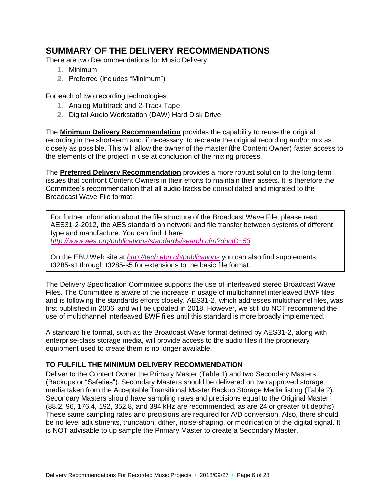# <span id="page-5-0"></span>**SUMMARY OF THE DELIVERY RECOMMENDATIONS**

There are two Recommendations for Music Delivery:

- **1.** Minimum
- **2.** Preferred (includes "Minimum")

For each of two recording technologies:

- **1.** Analog Multitrack and 2-Track Tape
- **2.** Digital Audio Workstation (DAW) Hard Disk Drive

The **Minimum Delivery Recommendation** provides the capability to reuse the original recording in the short-term and, if necessary, to recreate the original recording and/or mix as closely as possible. This will allow the owner of the master (the Content Owner) faster access to the elements of the project in use at conclusion of the mixing process.

The **Preferred Delivery Recommendation** provides a more robust solution to the long-term issues that confront Content Owners in their efforts to maintain their assets. It is therefore the Committee's recommendation that all audio tracks be consolidated and migrated to the Broadcast Wave File format.

For further information about the file structure of the Broadcast Wave File, please read AES31-2-2012, the AES standard on network and file transfer between systems of different type and manufacture. You can find it here: *<http://www.aes.org/publications/standards/search.cfm?docID=53>*

On the EBU Web site at *<http://tech.ebu.ch/publications>* you can also find supplements t3285-s1 through t3285-s5 for extensions to the basic file format.

The Delivery Specification Committee supports the use of interleaved stereo Broadcast Wave Files. The Committee is aware of the increase in usage of multichannel interleaved BWF files and is following the standards efforts closely. AES31-2, which addresses multichannel files, was first published in 2006, and will be updated in 2018. However, we still do NOT recommend the use of multichannel interleaved BWF files until this standard is more broadly implemented.

A standard file format, such as the Broadcast Wave format defined by AES31-2, along with enterprise-class storage media, will provide access to the audio files if the proprietary equipment used to create them is no longer available.

### **TO FULFILL THE MINIMUM DELIVERY RECOMMENDATION**

Deliver to the Content Owner the Primary Master (Table 1) and two Secondary Masters (Backups or "Safeties"). Secondary Masters should be delivered on two approved storage media taken from the Acceptable Transitional Master Backup Storage Media listing (Table 2). Secondary Masters should have sampling rates and precisions equal to the Original Master (88.2, 96, 176.4, 192, 352.8, and 384 kHz are recommended, as are 24 or greater bit depths). These same sampling rates and precisions are required for A/D conversion. Also, there should be no level adjustments, truncation, dither, noise-shaping, or modification of the digital signal. It is NOT advisable to up sample the Primary Master to create a Secondary Master.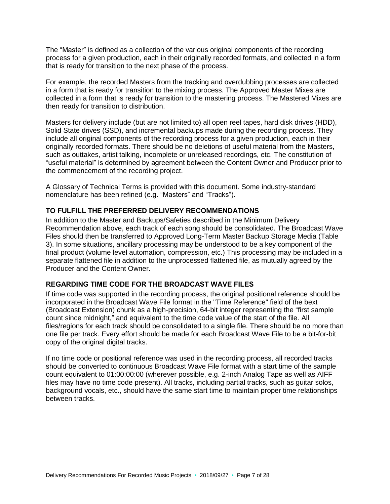The "Master" is defined as a collection of the various original components of the recording process for a given production, each in their originally recorded formats, and collected in a form that is ready for transition to the next phase of the process.

For example, the recorded Masters from the tracking and overdubbing processes are collected in a form that is ready for transition to the mixing process. The Approved Master Mixes are collected in a form that is ready for transition to the mastering process. The Mastered Mixes are then ready for transition to distribution.

Masters for delivery include (but are not limited to) all open reel tapes, hard disk drives (HDD), Solid State drives (SSD), and incremental backups made during the recording process. They include all original components of the recording process for a given production, each in their originally recorded formats. There should be no deletions of useful material from the Masters, such as outtakes, artist talking, incomplete or unreleased recordings, etc. The constitution of "useful material" is determined by agreement between the Content Owner and Producer prior to the commencement of the recording project.

A Glossary of Technical Terms is provided with this document. Some industry-standard nomenclature has been refined (e.g. "Masters" and "Tracks").

### **TO FULFILL THE PREFERRED DELIVERY RECOMMENDATIONS**

In addition to the Master and Backups/Safeties described in the Minimum Delivery Recommendation above, each track of each song should be consolidated. The Broadcast Wave Files should then be transferred to Approved Long-Term Master Backup Storage Media (Table 3). In some situations, ancillary processing may be understood to be a key component of the final product (volume level automation, compression, etc.) This processing may be included in a separate flattened file in addition to the unprocessed flattened file, as mutually agreed by the Producer and the Content Owner.

### **REGARDING TIME CODE FOR THE BROADCAST WAVE FILES**

If time code was supported in the recording process, the original positional reference should be incorporated in the Broadcast Wave File format in the "Time Reference" field of the bext (Broadcast Extension) chunk as a high-precision, 64-bit integer representing the "first sample count since midnight," and equivalent to the time code value of the start of the file. All files/regions for each track should be consolidated to a single file. There should be no more than one file per track. Every effort should be made for each Broadcast Wave File to be a bit-for-bit copy of the original digital tracks.

If no time code or positional reference was used in the recording process, all recorded tracks should be converted to continuous Broadcast Wave File format with a start time of the sample count equivalent to 01:00:00:00 (wherever possible, e.g. 2-inch Analog Tape as well as AIFF files may have no time code present). All tracks, including partial tracks, such as guitar solos, background vocals, etc., should have the same start time to maintain proper time relationships between tracks.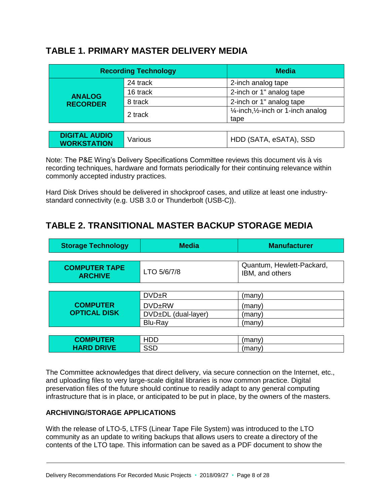# <span id="page-7-0"></span>**TABLE 1. PRIMARY MASTER DELIVERY MEDIA**

| <b>Recording Technology</b> |          | <b>Media</b>                                              |
|-----------------------------|----------|-----------------------------------------------------------|
|                             | 24 track | 2-inch analog tape                                        |
| <b>ANALOG</b>               | 16 track | 2-inch or 1" analog tape                                  |
| <b>RECORDER</b>             | 8 track  | 2-inch or 1" analog tape                                  |
|                             | 2 track  | $\frac{1}{4}$ -inch, $\frac{1}{2}$ -inch or 1-inch analog |
|                             |          | tape                                                      |

| <b>DIGITAL AUDIO</b><br>  HDD (SATA, eSATA), SSD<br>Various<br><b>WORKSTATION</b> |
|-----------------------------------------------------------------------------------|
|-----------------------------------------------------------------------------------|

Note: The P&E Wing's Delivery Specifications Committee reviews this document vis à vis recording techniques, hardware and formats periodically for their continuing relevance within commonly accepted industry practices.

<span id="page-7-1"></span>Hard Disk Drives should be delivered in shockproof cases, and utilize at least one industrystandard connectivity (e.g. USB 3.0 or Thunderbolt (USB-C)).

# **TABLE 2. TRANSITIONAL MASTER BACKUP STORAGE MEDIA**

| <b>Storage Technology</b>              | <b>Media</b>        | <b>Manufacturer</b>                          |  |  |  |
|----------------------------------------|---------------------|----------------------------------------------|--|--|--|
|                                        |                     |                                              |  |  |  |
| <b>COMPUTER TAPE</b><br><b>ARCHIVE</b> | LTO 5/6/7/8         | Quantum, Hewlett-Packard,<br>IBM, and others |  |  |  |
|                                        |                     |                                              |  |  |  |
|                                        | DVD <sub>±</sub> R  | (many)                                       |  |  |  |
| <b>COMPUTER</b>                        | <b>DVDERW</b>       | (many)                                       |  |  |  |
| <b>OPTICAL DISK</b>                    | DVD±DL (dual-layer) | (many)                                       |  |  |  |
|                                        | Blu-Ray             | (many)                                       |  |  |  |
|                                        |                     |                                              |  |  |  |
| <b>COMPUTER</b>                        | <b>HDD</b>          | (many)                                       |  |  |  |
| <b>HARD DRIVE</b>                      | <b>SSD</b>          | (many)                                       |  |  |  |

The Committee acknowledges that direct delivery, via secure connection on the Internet, etc., and uploading files to very large-scale digital libraries is now common practice. Digital preservation files of the future should continue to readily adapt to any general computing infrastructure that is in place, or anticipated to be put in place, by the owners of the masters.

# **ARCHIVING/STORAGE APPLICATIONS**

With the release of LTO-5, LTFS (Linear Tape File System) was introduced to the LTO community as an update to writing backups that allows users to create a directory of the contents of the LTO tape. This information can be saved as a PDF document to show the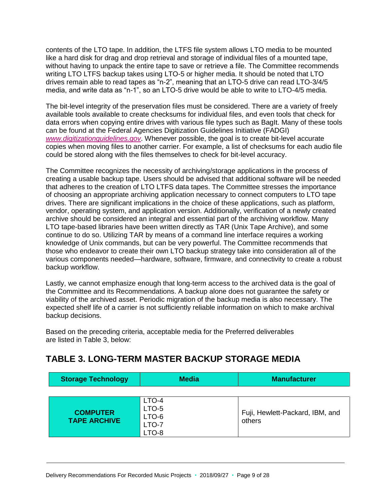contents of the LTO tape. In addition, the LTFS file system allows LTO media to be mounted like a hard disk for drag and drop retrieval and storage of individual files of a mounted tape, without having to unpack the entire tape to save or retrieve a file. The Committee recommends writing LTO LTFS backup takes using LTO-5 or higher media. It should be noted that LTO drives remain able to read tapes as "n-2", meaning that an LTO-5 drive can read LTO-3/4/5 media, and write data as "n-1", so an LTO-5 drive would be able to write to LTO-4/5 media.

The bit-level integrity of the preservation files must be considered. There are a variety of freely available tools available to create checksums for individual files, and even tools that check for data errors when copying entire drives with various file types such as BagIt. Many of these tools can be found at the Federal Agencies Digitization Guidelines Initiative (FADGI) *[www.digitizationguidelines.gov](http://www.digitizationguidelines.gov/)*. Whenever possible, the goal is to create bit-level accurate copies when moving files to another carrier. For example, a list of checksums for each audio file could be stored along with the files themselves to check for bit-level accuracy.

The Committee recognizes the necessity of archiving/storage applications in the process of creating a usable backup tape. Users should be advised that additional software will be needed that adheres to the creation of LTO LTFS data tapes. The Committee stresses the importance of choosing an appropriate archiving application necessary to connect computers to LTO tape drives. There are significant implications in the choice of these applications, such as platform, vendor, operating system, and application version. Additionally, verification of a newly created archive should be considered an integral and essential part of the archiving workflow. Many LTO tape-based libraries have been written directly as TAR (Unix Tape Archive), and some continue to do so. Utilizing TAR by means of a command line interface requires a working knowledge of Unix commands, but can be very powerful. The Committee recommends that those who endeavor to create their own LTO backup strategy take into consideration all of the various components needed—hardware, software, firmware, and connectivity to create a robust backup workflow.

Lastly, we cannot emphasize enough that long-term access to the archived data is the goal of the Committee and its Recommendations. A backup alone does not guarantee the safety or viability of the archived asset. Periodic migration of the backup media is also necessary. The expected shelf life of a carrier is not sufficiently reliable information on which to make archival backup decisions.

Based on the preceding criteria, acceptable media for the Preferred deliverables are listed in Table 3, below:

# <span id="page-8-0"></span>**TABLE 3. LONG-TERM MASTER BACKUP STORAGE MEDIA**

| <b>Storage Technology</b>              | <b>Media</b>                     | <b>Manufacturer</b>                       |
|----------------------------------------|----------------------------------|-------------------------------------------|
| <b>COMPUTER</b><br><b>TAPE ARCHIVE</b> | LTO-4<br>LTO-5<br>LTO-6<br>LTO-7 | Fuji, Hewlett-Packard, IBM, and<br>others |
|                                        | LTO-8                            |                                           |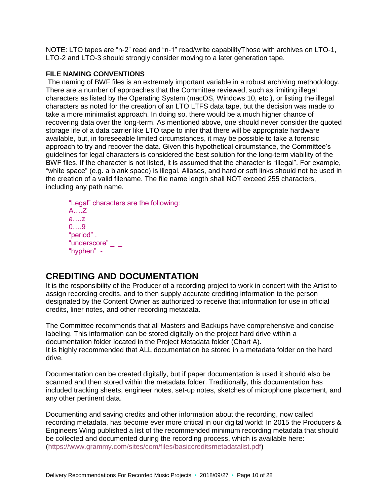NOTE: LTO tapes are "n-2" read and "n-1" read/write capabilityThose with archives on LTO-1, LTO-2 and LTO-3 should strongly consider moving to a later generation tape.

### **FILE NAMING CONVENTIONS**

The naming of BWF files is an extremely important variable in a robust archiving methodology. There are a number of approaches that the Committee reviewed, such as limiting illegal characters as listed by the Operating System (macOS, Windows 10, etc.), or listing the illegal characters as noted for the creation of an LTO LTFS data tape, but the decision was made to take a more minimalist approach. In doing so, there would be a much higher chance of recovering data over the long-term. As mentioned above, one should never consider the quoted storage life of a data carrier like LTO tape to infer that there will be appropriate hardware available, but, in foreseeable limited circumstances, it may be possible to take a forensic approach to try and recover the data. Given this hypothetical circumstance, the Committee's guidelines for legal characters is considered the best solution for the long-term viability of the BWF files. If the character is not listed, it is assumed that the character is "illegal". For example, "white space" (e.g. a blank space) is illegal. Aliases, and hard or soft links should not be used in the creation of a valid filename. The file name length shall NOT exceed 255 characters, including any path name.

"Legal" characters are the following: A….Z a….z 0….9 "period" . "underscore"  $_ _-$ "hyphen" -

# <span id="page-9-0"></span>**CREDITING AND DOCUMENTATION**

It is the responsibility of the Producer of a recording project to work in concert with the Artist to assign recording credits, and to then supply accurate crediting information to the person designated by the Content Owner as authorized to receive that information for use in official credits, liner notes, and other recording metadata.

The Committee recommends that all Masters and Backups have comprehensive and concise labeling. This information can be stored digitally on the project hard drive within a documentation folder located in the Project Metadata folder (Chart A). It is highly recommended that ALL documentation be stored in a metadata folder on the hard drive.

Documentation can be created digitally, but if paper documentation is used it should also be scanned and then stored within the metadata folder. Traditionally, this documentation has included tracking sheets, engineer notes, set-up notes, sketches of microphone placement, and any other pertinent data.

Documenting and saving credits and other information about the recording, now called recording metadata, has become ever more critical in our digital world: In 2015 the Producers & Engineers Wing published a list of the recommended minimum recording metadata that should be collected and documented during the recording process, which is available here: [\(https://www.grammy.com/sites/com/files/basiccreditsmetadatalist.pdf\)](https://www.grammy.com/sites/com/files/basiccreditsmetadatalist.pdf)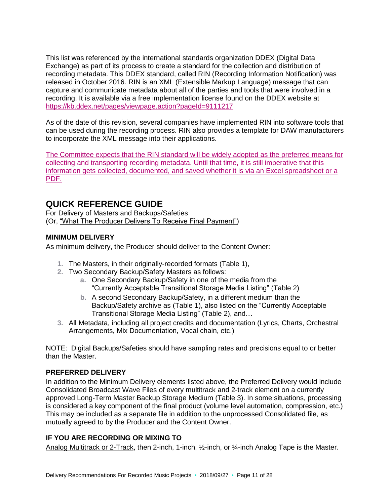This list was referenced by the international standards organization DDEX (Digital Data Exchange) as part of its process to create a standard for the collection and distribution of recording metadata. This DDEX standard, called RIN (Recording Information Notification) was released in October 2016. RIN is an XML (Extensible Markup Language) message that can capture and communicate metadata about all of the parties and tools that were involved in a recording. It is available via a free implementation license found on the DDEX website at [https://kb.ddex.net/pages/viewpage.action?pageId=9111217](https://hes32-ctp.trendmicro.com/wis/clicktime/v1/query?url=https%3a%2f%2fkb.ddex.net%2fpages%2fviewpage.action%3fpageId%3d9111217&umid=d3b6bd5c-6970-4995-a89a-584480727a1c&auth=844ce87b8192f356b8dc8ceed1c7d187eeaf8cb2-93cef85e74a5fecfb9a7edf7017346f2c4cdba32)

As of the date of this revision, several companies have implemented RIN into software tools that can be used during the recording process. RIN also provides a template for DAW manufacturers to incorporate the XML message into their applications.

The Committee expects that the RIN standard will be widely adopted as the preferred means for collecting and transporting recording metadata. Until that time, it is still imperative that this information gets collected, documented, and saved whether it is via an Excel spreadsheet or a PDF.

# <span id="page-10-0"></span>**QUICK REFERENCE GUIDE**

For Delivery of Masters and Backups/Safeties (Or, "What The Producer Delivers To Receive Final Payment")

# **MINIMUM DELIVERY**

As minimum delivery, the Producer should deliver to the Content Owner:

- **1.** The Masters, in their originally-recorded formats (Table 1),
- **2.** Two Secondary Backup/Safety Masters as follows:
	- **a.** One Secondary Backup/Safety in one of the media from the "Currently Acceptable Transitional Storage Media Listing" (Table 2)
	- **b.** A second Secondary Backup/Safety, in a different medium than the Backup/Safety archive as (Table 1), also listed on the "Currently Acceptable Transitional Storage Media Listing" (Table 2), and…
- **3.** All Metadata, including all project credits and documentation (Lyrics, Charts, Orchestral Arrangements, Mix Documentation, Vocal chain, etc.)

NOTE: Digital Backups/Safeties should have sampling rates and precisions equal to or better than the Master.

# **PREFERRED DELIVERY**

In addition to the Minimum Delivery elements listed above, the Preferred Delivery would include Consolidated Broadcast Wave Files of every multitrack and 2-track element on a currently approved Long-Term Master Backup Storage Medium (Table 3). In some situations, processing is considered a key component of the final product (volume level automation, compression, etc.) This may be included as a separate file in addition to the unprocessed Consolidated file, as mutually agreed to by the Producer and the Content Owner.

# **IF YOU ARE RECORDING OR MIXING TO**

Analog Multitrack or 2-Track, then 2-inch, 1-inch, 1/-inch, or 1/4-inch Analog Tape is the Master.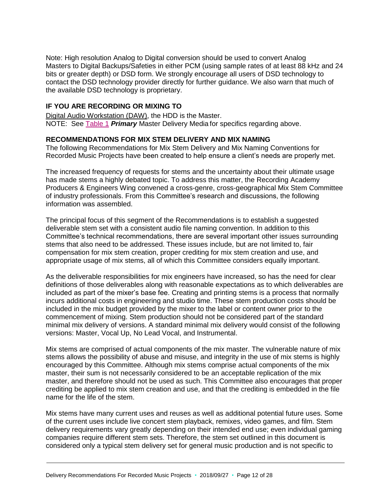Note: High resolution Analog to Digital conversion should be used to convert Analog Masters to Digital Backups/Safeties in either PCM (using sample rates of at least 88 kHz and 24 bits or greater depth) or DSD form. We strongly encourage all users of DSD technology to contact the DSD technology provider directly for further guidance. We also warn that much of the available DSD technology is proprietary.

### **IF YOU ARE RECORDING OR MIXING TO**

Digital Audio Workstation (DAW), the HDD is the Master. NOTE: See [Table 1](#page-7-0) *Primary* Master Delivery Media for specifics regarding above.

#### <span id="page-11-0"></span>**RECOMMENDATIONS FOR MIX STEM DELIVERY AND MIX NAMING**

The following Recommendations for Mix Stem Delivery and Mix Naming Conventions for Recorded Music Projects have been created to help ensure a client's needs are properly met.

The increased frequency of requests for stems and the uncertainty about their ultimate usage has made stems a highly debated topic. To address this matter, the Recording Academy Producers & Engineers Wing convened a cross-genre, cross-geographical Mix Stem Committee of industry professionals. From this Committee's research and discussions, the following information was assembled.

The principal focus of this segment of the Recommendations is to establish a suggested deliverable stem set with a consistent audio file naming convention. In addition to this Committee's technical recommendations, there are several important other issues surrounding stems that also need to be addressed. These issues include, but are not limited to, fair compensation for mix stem creation, proper crediting for mix stem creation and use, and appropriate usage of mix stems, all of which this Committee considers equally important.

As the deliverable responsibilities for mix engineers have increased, so has the need for clear definitions of those deliverables along with reasonable expectations as to which deliverables are included as part of the mixer's base fee. Creating and printing stems is a process that normally incurs additional costs in engineering and studio time. These stem production costs should be included in the mix budget provided by the mixer to the label or content owner prior to the commencement of mixing. Stem production should not be considered part of the standard minimal mix delivery of versions. A standard minimal mix delivery would consist of the following versions: Master, Vocal Up, No Lead Vocal, and Instrumental.

Mix stems are comprised of actual components of the mix master. The vulnerable nature of mix stems allows the possibility of abuse and misuse, and integrity in the use of mix stems is highly encouraged by this Committee. Although mix stems comprise actual components of the mix master, their sum is not necessarily considered to be an acceptable replication of the mix master, and therefore should not be used as such. This Committee also encourages that proper crediting be applied to mix stem creation and use, and that the crediting is embedded in the file name for the life of the stem.

Mix stems have many current uses and reuses as well as additional potential future uses. Some of the current uses include live concert stem playback, remixes, video games, and film. Stem delivery requirements vary greatly depending on their intended end use; even individual gaming companies require different stem sets. Therefore, the stem set outlined in this document is considered only a typical stem delivery set for general music production and is not specific to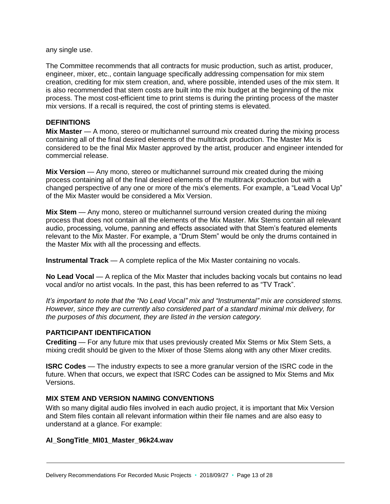any single use.

The Committee recommends that all contracts for music production, such as artist, producer, engineer, mixer, etc., contain language specifically addressing compensation for mix stem creation, crediting for mix stem creation, and, where possible, intended uses of the mix stem. It is also recommended that stem costs are built into the mix budget at the beginning of the mix process. The most cost-efficient time to print stems is during the printing process of the master mix versions. If a recall is required, the cost of printing stems is elevated.

#### **DEFINITIONS**

**Mix Master** — A mono, stereo or multichannel surround mix created during the mixing process containing all of the final desired elements of the multitrack production. The Master Mix is considered to be the final Mix Master approved by the artist, producer and engineer intended for commercial release.

**Mix Version** — Any mono, stereo or multichannel surround mix created during the mixing process containing all of the final desired elements of the multitrack production but with a changed perspective of any one or more of the mix's elements. For example, a "Lead Vocal Up" of the Mix Master would be considered a Mix Version.

**Mix Stem** — Any mono, stereo or multichannel surround version created during the mixing process that does not contain all the elements of the Mix Master. Mix Stems contain all relevant audio, processing, volume, panning and effects associated with that Stem's featured elements relevant to the Mix Master. For example, a "Drum Stem" would be only the drums contained in the Master Mix with all the processing and effects.

**Instrumental Track** — A complete replica of the Mix Master containing no vocals.

**No Lead Vocal** — A replica of the Mix Master that includes backing vocals but contains no lead vocal and/or no artist vocals. In the past, this has been referred to as "TV Track".

*It's important to note that the "No Lead Vocal" mix and "Instrumental" mix are considered stems. However, since they are currently also considered part of a standard minimal mix delivery, for the purposes of this document, they are listed in the version category.* 

### **PARTICIPANT IDENTIFICATION**

**Crediting** — For any future mix that uses previously created Mix Stems or Mix Stem Sets, a mixing credit should be given to the Mixer of those Stems along with any other Mixer credits.

**ISRC Codes** — The industry expects to see a more granular version of the ISRC code in the future. When that occurs, we expect that ISRC Codes can be assigned to Mix Stems and Mix Versions.

#### **MIX STEM AND VERSION NAMING CONVENTIONS**

With so many digital audio files involved in each audio project, it is important that Mix Version and Stem files contain all relevant information within their file names and are also easy to understand at a glance. For example:

#### **AI\_SongTitle\_MI01\_Master\_96k24.wav**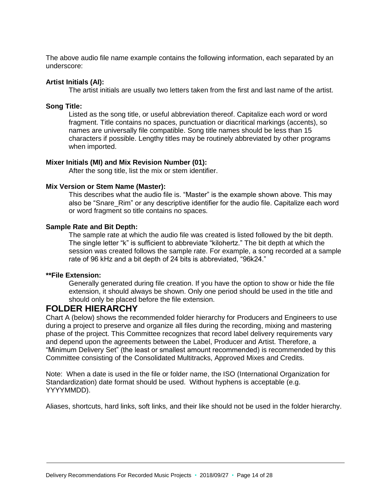The above audio file name example contains the following information, each separated by an underscore:

#### **Artist Initials (AI):**

The artist initials are usually two letters taken from the first and last name of the artist.

#### **Song Title:**

Listed as the song title, or useful abbreviation thereof. Capitalize each word or word fragment. Title contains no spaces, punctuation or diacritical markings (accents), so names are universally file compatible. Song title names should be less than 15 characters if possible. Lengthy titles may be routinely abbreviated by other programs when imported.

#### **Mixer Initials (MI) and Mix Revision Number (01):**

After the song title, list the mix or stem identifier.

#### **Mix Version or Stem Name (Master):**

This describes what the audio file is. "Master" is the example shown above. This may also be "Snare Rim" or any descriptive identifier for the audio file. Capitalize each word or word fragment so title contains no spaces.

#### **Sample Rate and Bit Depth:**

The sample rate at which the audio file was created is listed followed by the bit depth. The single letter "k" is sufficient to abbreviate "kilohertz." The bit depth at which the session was created follows the sample rate. For example, a song recorded at a sample rate of 96 kHz and a bit depth of 24 bits is abbreviated, "96k24."

#### **\*\*File Extension:**

Generally generated during file creation. If you have the option to show or hide the file extension, it should always be shown. Only one period should be used in the title and should only be placed before the file extension.

# <span id="page-13-0"></span>**FOLDER HIERARCHY**

Chart A (below) shows the recommended folder hierarchy for Producers and Engineers to use during a project to preserve and organize all files during the recording, mixing and mastering phase of the project. This Committee recognizes that record label delivery requirements vary and depend upon the agreements between the Label, Producer and Artist. Therefore, a "Minimum Delivery Set" (the least or smallest amount recommended) is recommended by this Committee consisting of the Consolidated Multitracks, Approved Mixes and Credits.

Note: When a date is used in the file or folder name, the ISO (International Organization for Standardization) date format should be used. Without hyphens is acceptable (e.g. YYYYMMDD).

Aliases, shortcuts, hard links, soft links, and their like should not be used in the folder hierarchy.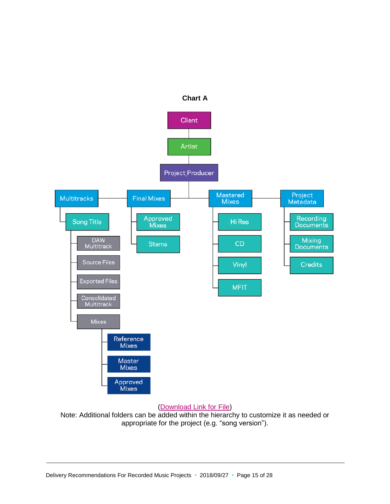

#### [\(Download Link](https://grammy.box.com/v/folderhierarchy) for File)

Note: Additional folders can be added within the hierarchy to customize it as needed or appropriate for the project (e.g. "song version").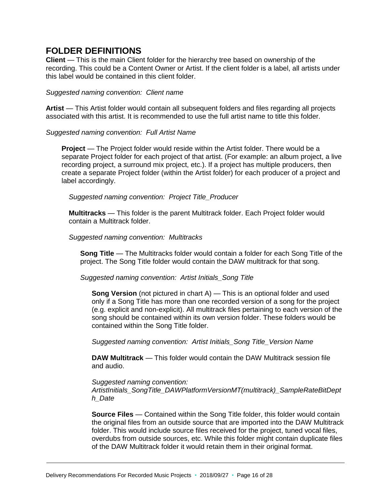# <span id="page-15-0"></span>**FOLDER DEFINITIONS**

**Client** — This is the main Client folder for the hierarchy tree based on ownership of the recording. This could be a Content Owner or Artist. If the client folder is a label, all artists under this label would be contained in this client folder.

#### *Suggested naming convention: Client name*

**Artist** — This Artist folder would contain all subsequent folders and files regarding all projects associated with this artist. It is recommended to use the full artist name to title this folder.

#### *Suggested naming convention: Full Artist Name*

**Project** — The Project folder would reside within the Artist folder. There would be a separate Project folder for each project of that artist. (For example: an album project, a live recording project, a surround mix project, etc.). If a project has multiple producers, then create a separate Project folder (within the Artist folder) for each producer of a project and label accordingly.

*Suggested naming convention: Project Title\_Producer*

**Multitracks** — This folder is the parent Multitrack folder. Each Project folder would contain a Multitrack folder.

#### *Suggested naming convention: Multitracks*

**Song Title** — The Multitracks folder would contain a folder for each Song Title of the project. The Song Title folder would contain the DAW multitrack for that song.

 *Suggested naming convention: Artist Initials\_Song Title*

**Song Version** (not pictured in chart A) — This is an optional folder and used only if a Song Title has more than one recorded version of a song for the project (e.g. explicit and non-explicit). All multitrack files pertaining to each version of the song should be contained within its own version folder. These folders would be contained within the Song Title folder.

 *Suggested naming convention: Artist Initials\_Song Title\_Version Name*

**DAW Multitrack** — This folder would contain the DAW Multitrack session file and audio.

*Suggested naming convention: ArtistInitials\_SongTitle\_DAWPlatformVersionMT(multitrack)\_SampleRateBitDept h\_Date*

**Source Files** — Contained within the Song Title folder, this folder would contain the original files from an outside source that are imported into the DAW Multitrack folder. This would include source files received for the project, tuned vocal files, overdubs from outside sources, etc. While this folder might contain duplicate files of the DAW Multitrack folder it would retain them in their original format.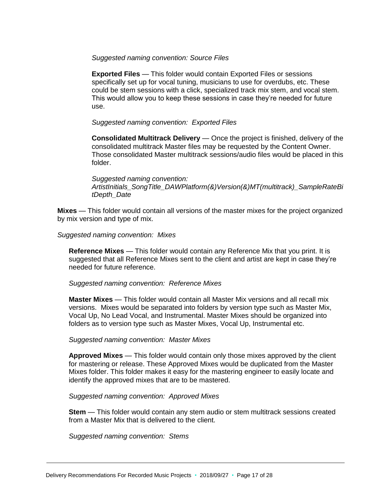#### *Suggested naming convention: Source Files*

**Exported Files** — This folder would contain Exported Files or sessions specifically set up for vocal tuning, musicians to use for overdubs, etc. These could be stem sessions with a click, specialized track mix stem, and vocal stem. This would allow you to keep these sessions in case they're needed for future use.

#### *Suggested naming convention: Exported Files*

**Consolidated Multitrack Delivery** — Once the project is finished, delivery of the consolidated multitrack Master files may be requested by the Content Owner. Those consolidated Master multitrack sessions/audio files would be placed in this folder.

*Suggested naming convention: ArtistInitials\_SongTitle\_DAWPlatform(&)Version(&)MT(multitrack)\_SampleRateBi tDepth\_Date*

**Mixes** — This folder would contain all versions of the master mixes for the project organized by mix version and type of mix.

#### *Suggested naming convention: Mixes*

**Reference Mixes** — This folder would contain any Reference Mix that you print. It is suggested that all Reference Mixes sent to the client and artist are kept in case they're needed for future reference.

#### *Suggested naming convention: Reference Mixes*

**Master Mixes** — This folder would contain all Master Mix versions and all recall mix versions. Mixes would be separated into folders by version type such as Master Mix, Vocal Up, No Lead Vocal, and Instrumental. Master Mixes should be organized into folders as to version type such as Master Mixes, Vocal Up, Instrumental etc.

#### *Suggested naming convention: Master Mixes*

**Approved Mixes** — This folder would contain only those mixes approved by the client for mastering or release. These Approved Mixes would be duplicated from the Master Mixes folder. This folder makes it easy for the mastering engineer to easily locate and identify the approved mixes that are to be mastered.

#### *Suggested naming convention: Approved Mixes*

**Stem** — This folder would contain any stem audio or stem multitrack sessions created from a Master Mix that is delivered to the client.

 *Suggested naming convention: Stems*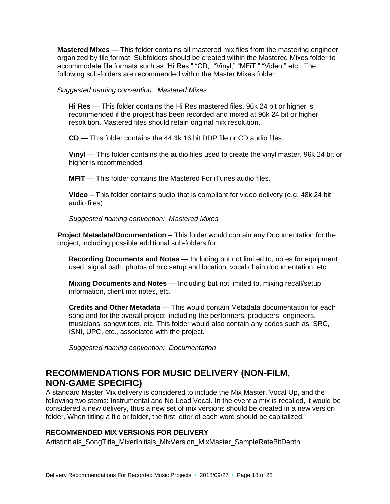**Mastered Mixes** — This folder contains all mastered mix files from the mastering engineer organized by file format. Subfolders should be created within the Mastered Mixes folder to accommodate file formats such as "Hi Res," "CD," "Vinyl," "MFiT," "Video," etc. The following sub-folders are recommended within the Master Mixes folder:

#### *Suggested naming convention: Mastered Mixes*

**Hi Res** — This folder contains the Hi Res mastered files. 96k 24 bit or higher is recommended if the project has been recorded and mixed at 96k 24 bit or higher resolution. Mastered files should retain original mix resolution.

**CD** — This folder contains the 44.1k 16 bit DDP file or CD audio files.

**Vinyl** — This folder contains the audio files used to create the vinyl master. 96k 24 bit or higher is recommended.

**MFIT** — This folder contains the Mastered For iTunes audio files.

**Video** – This folder contains audio that is compliant for video delivery (e.g. 48k 24 bit audio files)

*Suggested naming convention: Mastered Mixes*

**Project Metadata/Documentation** – This folder would contain any Documentation for the project, including possible additional sub-folders for:

**Recording Documents and Notes** — Including but not limited to, notes for equipment used, signal path, photos of mic setup and location, vocal chain documentation, etc.

**Mixing Documents and Notes** — Including but not limited to, mixing recall/setup information, client mix notes, etc.

**Credits and Other Metadata** — This would contain Metadata documentation for each song and for the overall project, including the performers, producers, engineers, musicians, songwriters, etc. This folder would also contain any codes such as ISRC, ISNI, UPC, etc., associated with the project.

 *Suggested naming convention: Documentation*

# <span id="page-17-0"></span>**RECOMMENDATIONS FOR MUSIC DELIVERY (NON-FILM, NON-GAME SPECIFIC)**

A standard Master Mix delivery is considered to include the Mix Master, Vocal Up, and the following two stems: Instrumental and No Lead Vocal. In the event a mix is recalled, it would be considered a new delivery, thus a new set of mix versions should be created in a new version folder. When titling a file or folder, the first letter of each word should be capitalized.

### **RECOMMENDED MIX VERSIONS FOR DELIVERY**

ArtistInitials\_SongTitle\_MixerInitials\_MixVersion\_MixMaster\_SampleRateBitDepth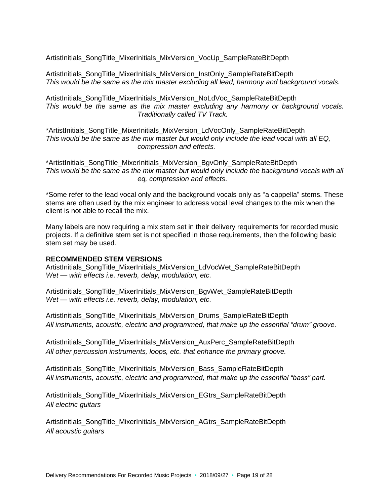ArtistInitials\_SongTitle\_MixerInitials\_MixVersion\_VocUp\_SampleRateBitDepth

ArtistInitials\_SongTitle\_MixerInitials\_MixVersion\_InstOnly\_SampleRateBitDepth *This would be the same as the mix master excluding all lead, harmony and background vocals.*

ArtistInitials\_SongTitle\_MixerInitials\_MixVersion\_NoLdVoc\_SampleRateBitDepth *This would be the same as the mix master excluding any harmony or background vocals. Traditionally called TV Track.*

\*ArtistInitials\_SongTitle\_MixerInitials\_MixVersion\_LdVocOnly\_SampleRateBitDepth *This would be the same as the mix master but would only include the lead vocal with all EQ, compression and effects.*

\*ArtistInitials\_SongTitle\_MixerInitials\_MixVersion\_BgvOnly\_SampleRateBitDepth *This would be the same as the mix master but would only include the background vocals with all eq, compression and effects*.

\*Some refer to the lead vocal only and the background vocals only as "a cappella" stems. These stems are often used by the mix engineer to address vocal level changes to the mix when the client is not able to recall the mix.

Many labels are now requiring a mix stem set in their delivery requirements for recorded music projects. If a definitive stem set is not specified in those requirements, then the following basic stem set may be used.

#### **RECOMMENDED STEM VERSIONS**

ArtistInitials\_SongTitle\_MixerInitials\_MixVersion\_LdVocWet\_SampleRateBitDepth *Wet — with effects i.e. reverb, delay, modulation, etc.*

ArtistInitials\_SongTitle\_MixerInitials\_MixVersion\_BgvWet\_SampleRateBitDepth *Wet — with effects i.e. reverb, delay, modulation, etc.*

ArtistInitials\_SongTitle\_MixerInitials\_MixVersion\_Drums\_SampleRateBitDepth *All instruments, acoustic, electric and programmed, that make up the essential "drum" groove.*

ArtistInitials\_SongTitle\_MixerInitials\_MixVersion\_AuxPerc\_SampleRateBitDepth *All other percussion instruments, loops, etc. that enhance the primary groove.*

ArtistInitials\_SongTitle\_MixerInitials\_MixVersion\_Bass\_SampleRateBitDepth *All instruments, acoustic, electric and programmed, that make up the essential "bass" part.*

ArtistInitials\_SongTitle\_MixerInitials\_MixVersion\_EGtrs\_SampleRateBitDepth *All electric guitars*

ArtistInitials\_SongTitle\_MixerInitials\_MixVersion\_AGtrs\_SampleRateBitDepth *All acoustic guitars*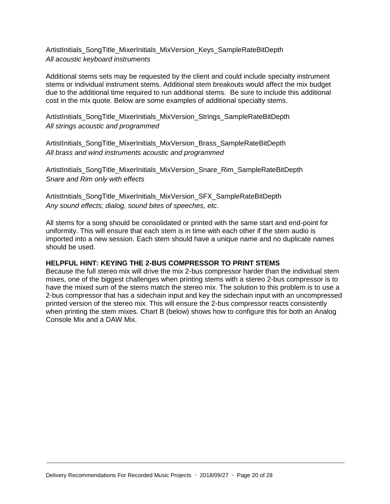ArtistInitials\_SongTitle\_MixerInitials\_MixVersion\_Keys\_SampleRateBitDepth *All acoustic keyboard instruments*

Additional stems sets may be requested by the client and could include specialty instrument stems or individual instrument stems. Additional stem breakouts would affect the mix budget due to the additional time required to run additional stems. Be sure to include this additional cost in the mix quote. Below are some examples of additional specialty stems.

ArtistInitials\_SongTitle\_MixerInitials\_MixVersion\_Strings\_SampleRateBitDepth *All strings acoustic and programmed*

ArtistInitials\_SongTitle\_MixerInitials\_MixVersion\_Brass\_SampleRateBitDepth *All brass and wind instruments acoustic and programmed*

ArtistInitials\_SongTitle\_MixerInitials\_MixVersion\_Snare\_Rim\_SampleRateBitDepth *Snare and Rim only with effects*

ArtistInitials\_SongTitle\_MixerInitials\_MixVersion\_SFX\_SampleRateBitDepth *Any sound effects; dialog, sound bites of speeches, etc*.

All stems for a song should be consolidated or printed with the same start and end-point for uniformity. This will ensure that each stem is in time with each other if the stem audio is imported into a new session. Each stem should have a unique name and no duplicate names should be used.

### <span id="page-19-0"></span>**HELPFUL HINT: KEYING THE 2-BUS COMPRESSOR TO PRINT STEMS**

Because the full stereo mix will drive the mix 2-bus compressor harder than the individual stem mixes, one of the biggest challenges when printing stems with a stereo 2-bus compressor is to have the mixed sum of the stems match the stereo mix. The solution to this problem is to use a 2-bus compressor that has a sidechain input and key the sidechain input with an uncompressed printed version of the stereo mix. This will ensure the 2-bus compressor reacts consistently when printing the stem mixes. Chart B (below) shows how to configure this for both an Analog Console Mix and a DAW Mix.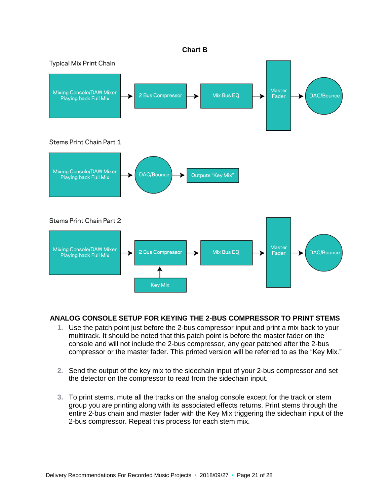

# **ANALOG CONSOLE SETUP FOR KEYING THE 2-BUS COMPRESSOR TO PRINT STEMS**

- **1.** Use the patch point just before the 2-bus compressor input and print a mix back to your multitrack. It should be noted that this patch point is before the master fader on the console and will not include the 2-bus compressor, any gear patched after the 2-bus compressor or the master fader. This printed version will be referred to as the "Key Mix."
- **2.** Send the output of the key mix to the sidechain input of your 2-bus compressor and set the detector on the compressor to read from the sidechain input.
- **3.** To print stems, mute all the tracks on the analog console except for the track or stem group you are printing along with its associated effects returns. Print stems through the entire 2-bus chain and master fader with the Key Mix triggering the sidechain input of the 2-bus compressor. Repeat this process for each stem mix.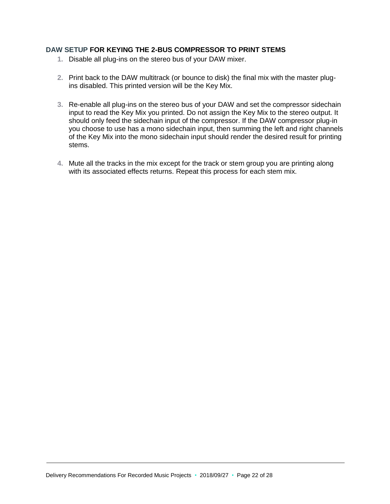### **DAW SETUP FOR KEYING THE 2-BUS COMPRESSOR TO PRINT STEMS**

- **1.** Disable all plug-ins on the stereo bus of your DAW mixer.
- **2.** Print back to the DAW multitrack (or bounce to disk) the final mix with the master plugins disabled. This printed version will be the Key Mix.
- **3.** Re-enable all plug-ins on the stereo bus of your DAW and set the compressor sidechain input to read the Key Mix you printed. Do not assign the Key Mix to the stereo output. It should only feed the sidechain input of the compressor. If the DAW compressor plug-in you choose to use has a mono sidechain input, then summing the left and right channels of the Key Mix into the mono sidechain input should render the desired result for printing stems.
- **4.** Mute all the tracks in the mix except for the track or stem group you are printing along with its associated effects returns. Repeat this process for each stem mix.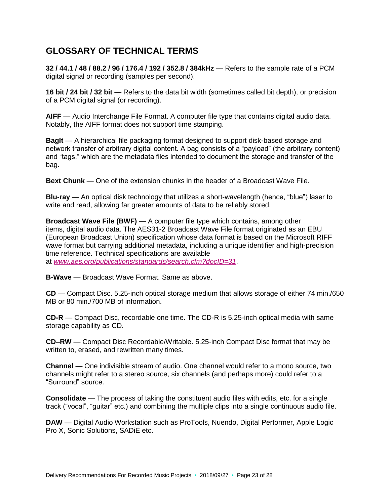# <span id="page-22-0"></span>**GLOSSARY OF TECHNICAL TERMS**

**32 / 44.1 / 48 / 88.2 / 96 / 176.4 / 192 / 352.8 / 384kHz** — Refers to the sample rate of a PCM digital signal or recording (samples per second).

**16 bit / 24 bit / 32 bit** — Refers to the data bit width (sometimes called bit depth), or precision of a PCM digital signal (or recording).

**AIFF** — Audio Interchange File Format. A computer file type that contains digital audio data. Notably, the AIFF format does not support time stamping.

**BagIt** — A hierarchical file packaging format designed to support disk-based storage and network transfer of arbitrary digital content. A bag consists of a "payload" (the arbitrary content) and "tags," which are the metadata files intended to document the storage and transfer of the bag.

**Bext Chunk** — One of the extension chunks in the header of a Broadcast Wave File.

**Blu-ray** — An optical disk technology that utilizes a short-wavelength (hence, "blue") laser to write and read, allowing far greater amounts of data to be reliably stored.

**Broadcast Wave File (BWF)** — A computer file type which contains, among other items, digital audio data. The AES31-2 Broadcast Wave File format originated as an EBU (European Broadcast Union) specification whose data format is based on the Microsoft RIFF wave format but carrying additional metadata, including a unique identifier and high-precision time reference. Technical specifications are available at *[www.aes.org/publications/standards/search.cfm?docID=31](http://www.aes.org/publications/standards/search.cfm?docID=31)*.

**B-Wave** — Broadcast Wave Format. Same as above.

**CD** — Compact Disc. 5.25-inch optical storage medium that allows storage of either 74 min./650 MB or 80 min./700 MB of information.

**CD-R** — Compact Disc, recordable one time. The CD-R is 5.25-inch optical media with same storage capability as CD.

**CD–RW** — Compact Disc Recordable/Writable. 5.25-inch Compact Disc format that may be written to, erased, and rewritten many times.

**Channel** — One indivisible stream of audio. One channel would refer to a mono source, two channels might refer to a stereo source, six channels (and perhaps more) could refer to a "Surround" source.

**Consolidate** — The process of taking the constituent audio files with edits, etc. for a single track ("vocal", "guitar" etc.) and combining the multiple clips into a single continuous audio file.

**DAW** — Digital Audio Workstation such as ProTools, Nuendo, Digital Performer, Apple Logic Pro X, Sonic Solutions, SADiE etc.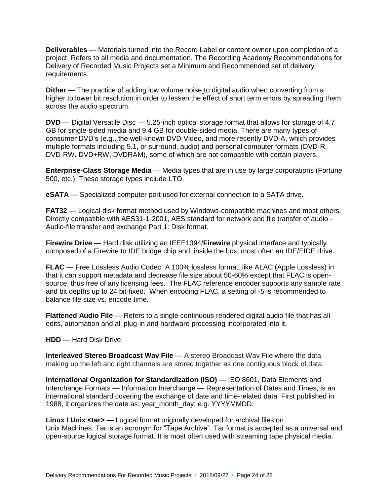**Deliverables** — Materials turned into the Record Label or content owner upon completion of a project. Refers to all media and documentation. The Recording Academy Recommendations for Delivery of Recorded Music Projects set a Minimum and Recommended set of delivery requirements.

**Dither** — The practice of adding low volume noise to digital audio when converting from a higher to lower bit resolution in order to lessen the effect of short term errors by spreading them across the audio spectrum.

**DVD** — Digital Versatile Disc — 5.25-inch optical storage format that allows for storage of 4.7 GB for single-sided media and 9.4 GB for double-sided media. There are many types of consumer DVD's (e.g., the well-known DVD-Video, and more recently DVD-A, which provides multiple formats including 5.1, or surround, audio) and personal computer formats (DVD-R, DVD-RW, DVD+RW, DVDRAM), some of which are not compatible with certain players.

**Enterprise-Class Storage Media** — Media types that are in use by large corporations (Fortune 500, etc.). These storage types include LTO.

**eSATA** — Specialized computer port used for external connection to a SATA drive.

**FAT32** — Logical disk format method used by Windows-compatible machines and most others. Directly compatible with AES31-1-2001, AES standard for network and file transfer of audio - Audio-file transfer and exchange Part 1: Disk format.

**Firewire Drive** — Hard disk utilizing an IEEE1394/**Firewire** physical interface and typically composed of a Firewire to IDE bridge chip and, inside the box, most often an IDE/EIDE drive.

**FLAC** — Free Lossless Audio Codec. A 100% lossless format, like ALAC (Apple Lossless) in that it can support metadata and decrease file size about 50-60% except that FLAC is opensource, thus free of any licensing fees. The FLAC reference encoder supports any sample rate and bit depths up to 24 bit-fixed. When encoding FLAC, a setting of -5 is recommended to balance file size vs. encode time.

**Flattened Audio File** — Refers to a single continuous rendered digital audio file that has all edits, automation and all plug-in and hardware processing incorporated into it.

**HDD** — Hard Disk Drive.

**Interleaved Stereo Broadcast Wav File** — A stereo Broadcast Wav File where the data making up the left and right channels are stored together as one contiguous block of data.

**International Organization for Standardization (ISO)** — ISO 8601, Data Elements and Interchange Formats — Information Interchange — Representation of Dates and Times, is an international standard covering the exchange of date and time-related data. First published in 1988, it organizes the date as: year month day: e.g. YYYYMMDD.

**Linux / Unix <tar>** — Logical format originally developed for archival files on Unix Machines. Tar is an acronym for "Tape Archive". Tar format is accepted as a universal and open-source logical storage format. It is most often used with streaming tape physical media.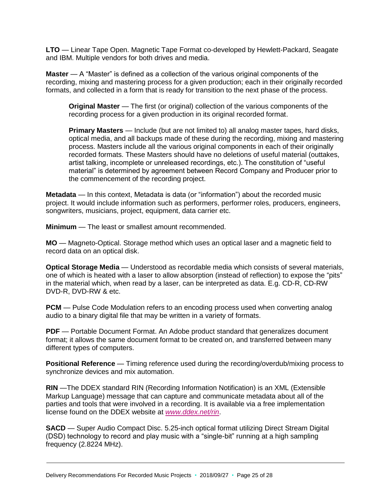**LTO** — Linear Tape Open. Magnetic Tape Format co-developed by Hewlett-Packard, Seagate and IBM. Multiple vendors for both drives and media.

**Master** — A "Master" is defined as a collection of the various original components of the recording, mixing and mastering process for a given production; each in their originally recorded formats, and collected in a form that is ready for transition to the next phase of the process.

**Original Master** — The first (or original) collection of the various components of the recording process for a given production in its original recorded format.

**Primary Masters** — Include (but are not limited to) all analog master tapes, hard disks, optical media, and all backups made of these during the recording, mixing and mastering process. Masters include all the various original components in each of their originally recorded formats. These Masters should have no deletions of useful material (outtakes, artist talking, incomplete or unreleased recordings, etc.). The constitution of "useful material" is determined by agreement between Record Company and Producer prior to the commencement of the recording project.

**Metadata** — In this context, Metadata is data (or "information") about the recorded music project. It would include information such as performers, performer roles, producers, engineers, songwriters, musicians, project, equipment, data carrier etc.

**Minimum** — The least or smallest amount recommended.

**MO** — Magneto-Optical. Storage method which uses an optical laser and a magnetic field to record data on an optical disk.

**Optical Storage Media** — Understood as recordable media which consists of several materials, one of which is heated with a laser to allow absorption (instead of reflection) to expose the "pits" in the material which, when read by a laser, can be interpreted as data. E.g. CD-R, CD-RW DVD-R, DVD-RW & etc.

**PCM** — Pulse Code Modulation refers to an encoding process used when converting analog audio to a binary digital file that may be written in a variety of formats.

**PDF** — Portable Document Format. An Adobe product standard that generalizes document format; it allows the same document format to be created on, and transferred between many different types of computers.

**Positional Reference** — Timing reference used during the recording/overdub/mixing process to synchronize devices and mix automation.

**RIN** —The DDEX standard RIN (Recording Information Notification) is an XML (Extensible Markup Language) message that can capture and communicate metadata about all of the parties and tools that were involved in a recording. It is available via a free implementation license found on the DDEX website at *[www.ddex.net/rin](http://www.ddex.net/rin)*.

**SACD** — Super Audio Compact Disc. 5.25-inch optical format utilizing Direct Stream Digital (DSD) technology to record and play music with a "single-bit" running at a high sampling frequency (2.8224 MHz).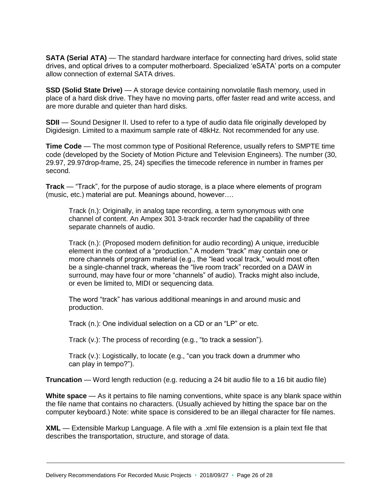**SATA (Serial ATA)** — The standard hardware interface for connecting hard drives, solid state drives, and optical drives to a computer motherboard. Specialized 'eSATA' ports on a computer allow connection of external SATA drives.

**SSD (Solid State Drive)** — A storage device containing nonvolatile flash memory, used in place of a hard disk drive. They have no moving parts, offer faster read and write access, and are more durable and quieter than hard disks.

**SDII** — Sound Designer II. Used to refer to a type of audio data file originally developed by Digidesign. Limited to a maximum sample rate of 48kHz. Not recommended for any use.

**Time Code** — The most common type of Positional Reference, usually refers to SMPTE time code (developed by the Society of Motion Picture and Television Engineers). The number (30, 29.97, 29.97drop-frame, 25, 24) specifies the timecode reference in number in frames per second.

**Track** — "Track", for the purpose of audio storage, is a place where elements of program (music, etc.) material are put. Meanings abound, however….

Track (n.): Originally, in analog tape recording, a term synonymous with one channel of content. An Ampex 301 3-track recorder had the capability of three separate channels of audio.

Track (n.): (Proposed modern definition for audio recording) A unique, irreducible element in the context of a "production." A modern "track" may contain one or more channels of program material (e.g., the "lead vocal track," would most often be a single-channel track, whereas the "live room track" recorded on a DAW in surround, may have four or more "channels" of audio). Tracks might also include, or even be limited to, MIDI or sequencing data.

The word "track" has various additional meanings in and around music and production.

Track (n.): One individual selection on a CD or an "LP" or etc.

Track (v.): The process of recording (e.g., "to track a session").

Track (v.): Logistically, to locate (e.g., "can you track down a drummer who can play in tempo?").

**Truncation** — Word length reduction (e.g. reducing a 24 bit audio file to a 16 bit audio file)

**White space** — As it pertains to file naming conventions, white space is any blank space within the file name that contains no characters. (Usually achieved by hitting the space bar on the computer keyboard.) Note: white space is considered to be an illegal character for file names.

**XML** — Extensible Markup Language. A file with a .xml file extension is a plain text file that describes the transportation, structure, and storage of data.